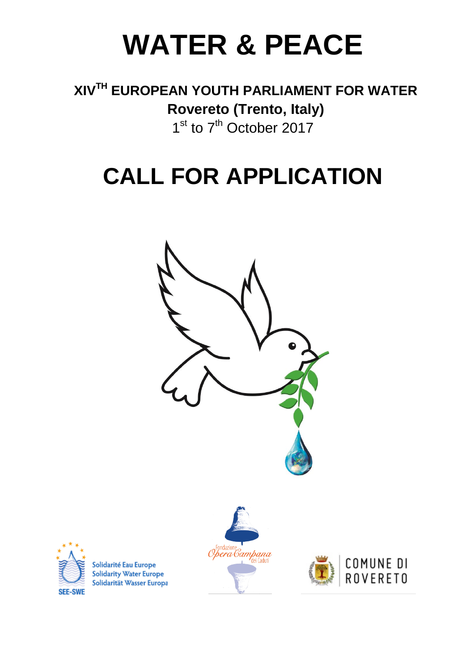# **WATER & PEACE**

### **XIVTH EUROPEAN YOUTH PARLIAMENT FOR WATER Rovereto (Trento, Italy)** 1<sup>st</sup> to 7<sup>th</sup> October 2017

## **CALL FOR APPLICATION**





Solidarité Eau Europe **Solidarity Water Europe** Solidarität Wasser Europa



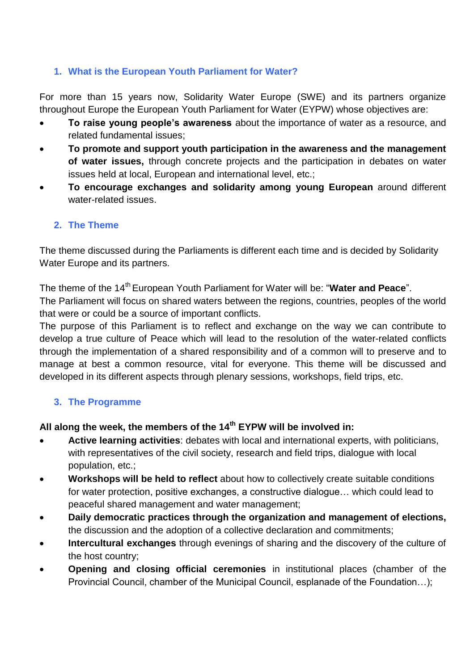#### **1. What is the European Youth Parliament for Water?**

For more than 15 years now, Solidarity Water Europe (SWE) and its partners organize throughout Europe the European Youth Parliament for Water (EYPW) whose objectives are:

- **To raise young people's awareness** about the importance of water as a resource, and related fundamental issues;
- **To promote and support youth participation in the awareness and the management of water issues,** through concrete projects and the participation in debates on water issues held at local, European and international level, etc.;
- **To encourage exchanges and solidarity among young European** around different water-related issues.

#### **2. The Theme**

The theme discussed during the Parliaments is different each time and is decided by Solidarity Water Europe and its partners.

The theme of the 14<sup>th</sup> European Youth Parliament for Water will be: "Water and Peace".

The Parliament will focus on shared waters between the regions, countries, peoples of the world that were or could be a source of important conflicts.

The purpose of this Parliament is to reflect and exchange on the way we can contribute to develop a true culture of Peace which will lead to the resolution of the water-related conflicts through the implementation of a shared responsibility and of a common will to preserve and to manage at best a common resource, vital for everyone. This theme will be discussed and developed in its different aspects through plenary sessions, workshops, field trips, etc.

#### **3. The Programme**

#### **All along the week, the members of the 14th EYPW will be involved in:**

- **Active learning activities**: debates with local and international experts, with politicians, with representatives of the civil society, research and field trips, dialogue with local population, etc.;
- **Workshops will be held to reflect** about how to collectively create suitable conditions for water protection, positive exchanges, a constructive dialogue… which could lead to peaceful shared management and water management;
- **Daily democratic practices through the organization and management of elections,**  the discussion and the adoption of a collective declaration and commitments;
- **Intercultural exchanges** through evenings of sharing and the discovery of the culture of the host country;
- **Opening and closing official ceremonies** in institutional places (chamber of the Provincial Council, chamber of the Municipal Council, esplanade of the Foundation…);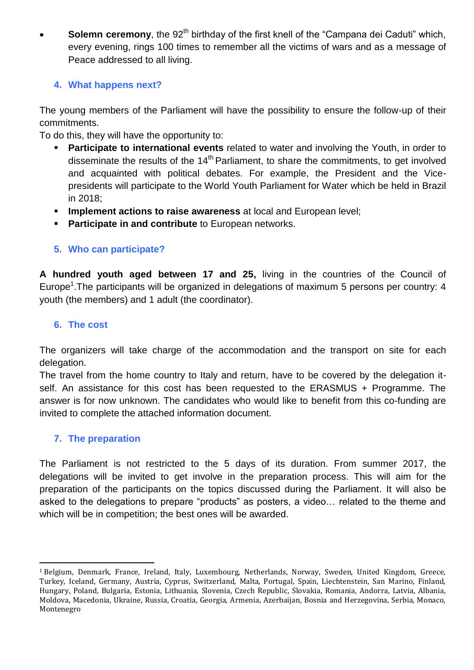**Solemn ceremony**, the 92<sup>th</sup> birthday of the first knell of the "Campana dei Caduti" which, every evening, rings 100 times to remember all the victims of wars and as a message of Peace addressed to all living.

#### **4. What happens next?**

The young members of the Parliament will have the possibility to ensure the follow-up of their commitments.

To do this, they will have the opportunity to:

- **Participate to international events** related to water and involving the Youth, in order to disseminate the results of the  $14<sup>th</sup>$  Parliament, to share the commitments, to get involved and acquainted with political debates. For example, the President and the Vicepresidents will participate to the World Youth Parliament for Water which be held in Brazil in 2018;
- **Implement actions to raise awareness** at local and European level;
- **Participate in and contribute** to European networks.

#### **5. Who can participate?**

**A hundred youth aged between 17 and 25,** living in the countries of the Council of Europe<sup>1</sup>. The participants will be organized in delegations of maximum 5 persons per country: 4 youth (the members) and 1 adult (the coordinator).

#### **6. The cost**

The organizers will take charge of the accommodation and the transport on site for each delegation.

The travel from the home country to Italy and return, have to be covered by the delegation itself. An assistance for this cost has been requested to the ERASMUS + Programme. The answer is for now unknown. The candidates who would like to benefit from this co-funding are invited to complete the attached information document.

#### **7. The preparation**

The Parliament is not restricted to the 5 days of its duration. From summer 2017, the delegations will be invited to get involve in the preparation process. This will aim for the preparation of the participants on the topics discussed during the Parliament. It will also be asked to the delegations to prepare "products" as posters, a video… related to the theme and which will be in competition; the best ones will be awarded.

 $\overline{a}$ <sup>1</sup> Belgium, Denmark, France, Ireland, Italy, Luxembourg, Netherlands, Norway, Sweden, United Kingdom, Greece, Turkey, Iceland, Germany, Austria, Cyprus, Switzerland, Malta, Portugal, Spain, Liechtenstein, San Marino, Finland, Hungary, Poland, Bulgaria, Estonia, Lithuania, Slovenia, Czech Republic, Slovakia, Romania, Andorra, Latvia, Albania, Moldova, Macedonia, Ukraine, Russia, Croatia, Georgia, Armenia, Azerbaijan, Bosnia and Herzegovina, Serbia, Monaco, Montenegro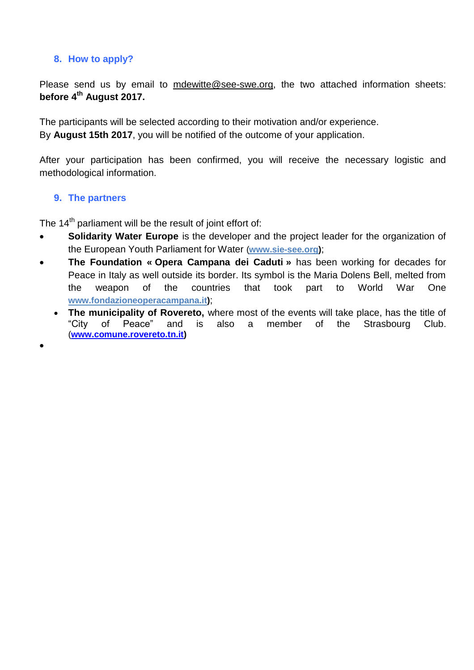#### **8. How to apply?**

Please send us by email to mdewitte@see-swe.org, the two attached information sheets: **before 4 th August 2017.**

The participants will be selected according to their motivation and/or experience. By **August 15th 2017**, you will be notified of the outcome of your application.

After your participation has been confirmed, you will receive the necessary logistic and methodological information.

#### **9. The partners**

 $\bullet$ 

The 14<sup>th</sup> parliament will be the result of joint effort of:

- **Solidarity Water Europe** is the developer and the project leader for the organization of the European Youth Parliament for Water (**www.sie-see.org)**;
- **The Foundation « Opera Campana dei Caduti »** has been working for decades for Peace in Italy as well outside its border. Its symbol is the Maria Dolens Bell, melted from the weapon of the countries that took part to World War One **[www.fondazioneoperac](http://www.fondazioneopera/)ampana.it)**;
	- **The municipality of Rovereto,** where most of the events will take place, has the title of "City of Peace" and is also a member of the Strasbourg Club. (**[www.comune.rovereto.tn.it\)](http://www.comune.rovereto.tn.it/)**